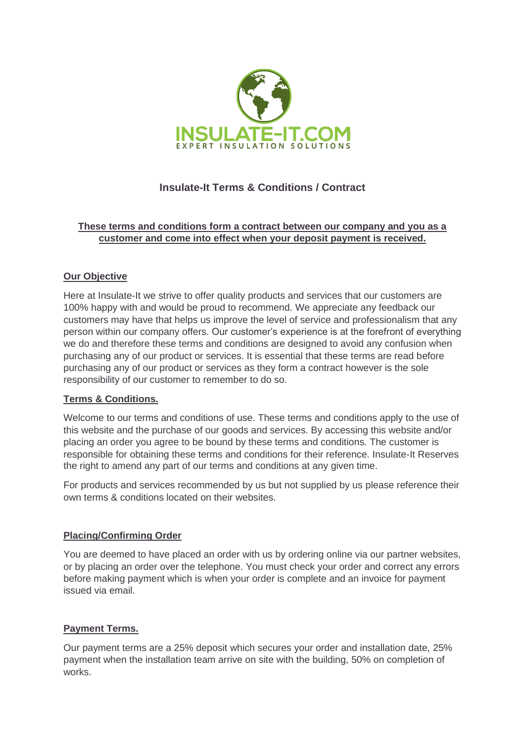

# **Insulate-It Terms & Conditions / Contract**

# **These terms and conditions form a contract between our company and you as a customer and come into effect when your deposit payment is received.**

# **Our Objective**

Here at Insulate-It we strive to offer quality products and services that our customers are 100% happy with and would be proud to recommend. We appreciate any feedback our customers may have that helps us improve the level of service and professionalism that any person within our company offers. Our customer's experience is at the forefront of everything we do and therefore these terms and conditions are designed to avoid any confusion when purchasing any of our product or services. It is essential that these terms are read before purchasing any of our product or services as they form a contract however is the sole responsibility of our customer to remember to do so.

### **Terms & Conditions.**

Welcome to our terms and conditions of use. These terms and conditions apply to the use of this website and the purchase of our goods and services. By accessing this website and/or placing an order you agree to be bound by these terms and conditions. The customer is responsible for obtaining these terms and conditions for their reference. Insulate-It Reserves the right to amend any part of our terms and conditions at any given time.

For products and services recommended by us but not supplied by us please reference their own terms & conditions located on their websites.

### **Placing/Confirming Order**

You are deemed to have placed an order with us by ordering online via our partner websites, or by placing an order over the telephone. You must check your order and correct any errors before making payment which is when your order is complete and an invoice for payment issued via email.

### **Payment Terms.**

Our payment terms are a 25% deposit which secures your order and installation date, 25% payment when the installation team arrive on site with the building, 50% on completion of works.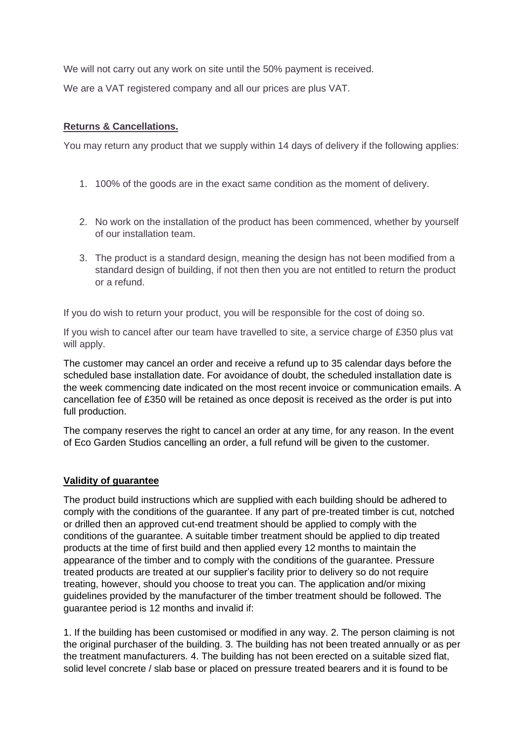We will not carry out any work on site until the 50% payment is received.

We are a VAT registered company and all our prices are plus VAT.

# **Returns & Cancellations.**

You may return any product that we supply within 14 days of delivery if the following applies:

- 1. 100% of the goods are in the exact same condition as the moment of delivery.
- 2. No work on the installation of the product has been commenced, whether by yourself of our installation team.
- 3. The product is a standard design, meaning the design has not been modified from a standard design of building, if not then then you are not entitled to return the product or a refund.

If you do wish to return your product, you will be responsible for the cost of doing so.

If you wish to cancel after our team have travelled to site, a service charge of £350 plus vat will apply.

The customer may cancel an order and receive a refund up to 35 calendar days before the scheduled base installation date. For avoidance of doubt, the scheduled installation date is the week commencing date indicated on the most recent invoice or communication emails. A cancellation fee of £350 will be retained as once deposit is received as the order is put into full production.

The company reserves the right to cancel an order at any time, for any reason. In the event of Eco Garden Studios cancelling an order, a full refund will be given to the customer.

### **Validity of guarantee**

The product build instructions which are supplied with each building should be adhered to comply with the conditions of the guarantee. If any part of pre-treated timber is cut, notched or drilled then an approved cut-end treatment should be applied to comply with the conditions of the guarantee. A suitable timber treatment should be applied to dip treated products at the time of first build and then applied every 12 months to maintain the appearance of the timber and to comply with the conditions of the guarantee. Pressure treated products are treated at our supplier's facility prior to delivery so do not require treating, however, should you choose to treat you can. The application and/or mixing guidelines provided by the manufacturer of the timber treatment should be followed. The guarantee period is 12 months and invalid if:

1. If the building has been customised or modified in any way. 2. The person claiming is not the original purchaser of the building. 3. The building has not been treated annually or as per the treatment manufacturers. 4. The building has not been erected on a suitable sized flat, solid level concrete / slab base or placed on pressure treated bearers and it is found to be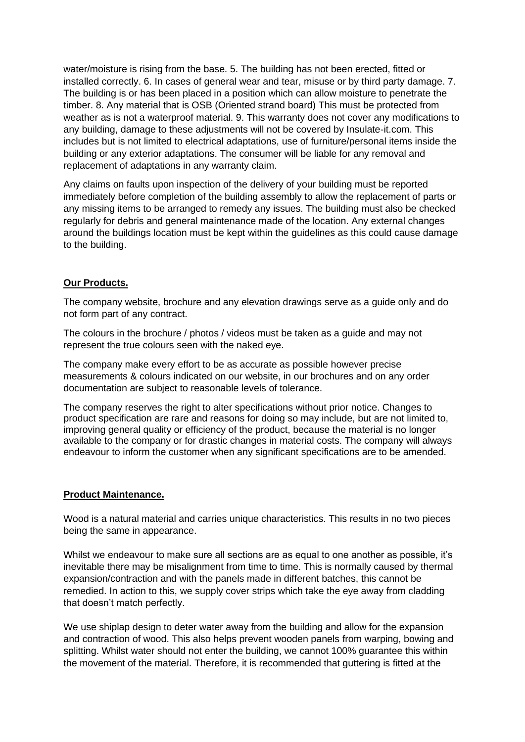water/moisture is rising from the base. 5. The building has not been erected, fitted or installed correctly. 6. In cases of general wear and tear, misuse or by third party damage. 7. The building is or has been placed in a position which can allow moisture to penetrate the timber. 8. Any material that is OSB (Oriented strand board) This must be protected from weather as is not a waterproof material. 9. This warranty does not cover any modifications to any building, damage to these adjustments will not be covered by Insulate-it.com. This includes but is not limited to electrical adaptations, use of furniture/personal items inside the building or any exterior adaptations. The consumer will be liable for any removal and replacement of adaptations in any warranty claim.

Any claims on faults upon inspection of the delivery of your building must be reported immediately before completion of the building assembly to allow the replacement of parts or any missing items to be arranged to remedy any issues. The building must also be checked regularly for debris and general maintenance made of the location. Any external changes around the buildings location must be kept within the guidelines as this could cause damage to the building.

### **Our Products.**

The company website, brochure and any elevation drawings serve as a guide only and do not form part of any contract.

The colours in the brochure / photos / videos must be taken as a guide and may not represent the true colours seen with the naked eye.

The company make every effort to be as accurate as possible however precise measurements & colours indicated on our website, in our brochures and on any order documentation are subject to reasonable levels of tolerance.

The company reserves the right to alter specifications without prior notice. Changes to product specification are rare and reasons for doing so may include, but are not limited to, improving general quality or efficiency of the product, because the material is no longer available to the company or for drastic changes in material costs. The company will always endeavour to inform the customer when any significant specifications are to be amended.

#### **Product Maintenance.**

Wood is a natural material and carries unique characteristics. This results in no two pieces being the same in appearance.

Whilst we endeavour to make sure all sections are as equal to one another as possible, it's inevitable there may be misalignment from time to time. This is normally caused by thermal expansion/contraction and with the panels made in different batches, this cannot be remedied. In action to this, we supply cover strips which take the eye away from cladding that doesn't match perfectly.

We use shiplap design to deter water away from the building and allow for the expansion and contraction of wood. This also helps prevent wooden panels from warping, bowing and splitting. Whilst water should not enter the building, we cannot 100% guarantee this within the movement of the material. Therefore, it is recommended that guttering is fitted at the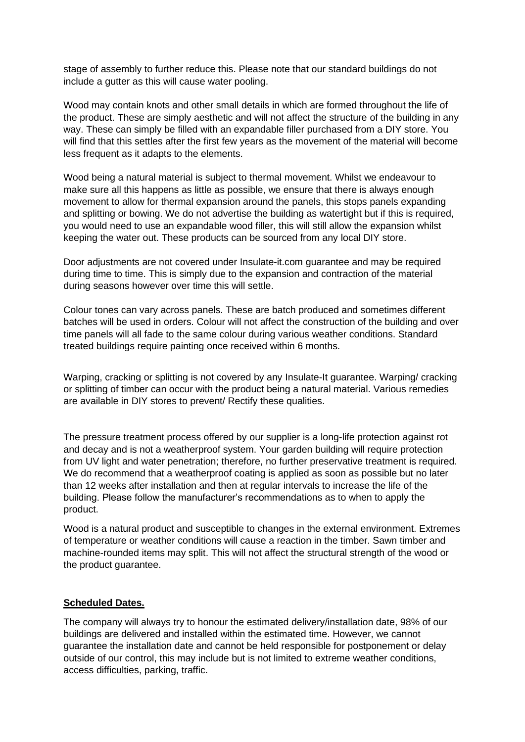stage of assembly to further reduce this. Please note that our standard buildings do not include a gutter as this will cause water pooling.

Wood may contain knots and other small details in which are formed throughout the life of the product. These are simply aesthetic and will not affect the structure of the building in any way. These can simply be filled with an expandable filler purchased from a DIY store. You will find that this settles after the first few years as the movement of the material will become less frequent as it adapts to the elements.

Wood being a natural material is subject to thermal movement. Whilst we endeavour to make sure all this happens as little as possible, we ensure that there is always enough movement to allow for thermal expansion around the panels, this stops panels expanding and splitting or bowing. We do not advertise the building as watertight but if this is required, you would need to use an expandable wood filler, this will still allow the expansion whilst keeping the water out. These products can be sourced from any local DIY store.

Door adjustments are not covered under Insulate-it.com guarantee and may be required during time to time. This is simply due to the expansion and contraction of the material during seasons however over time this will settle.

Colour tones can vary across panels. These are batch produced and sometimes different batches will be used in orders. Colour will not affect the construction of the building and over time panels will all fade to the same colour during various weather conditions. Standard treated buildings require painting once received within 6 months.

Warping, cracking or splitting is not covered by any Insulate-It guarantee. Warping/ cracking or splitting of timber can occur with the product being a natural material. Various remedies are available in DIY stores to prevent/ Rectify these qualities.

The pressure treatment process offered by our supplier is a long-life protection against rot and decay and is not a weatherproof system. Your garden building will require protection from UV light and water penetration; therefore, no further preservative treatment is required. We do recommend that a weatherproof coating is applied as soon as possible but no later than 12 weeks after installation and then at regular intervals to increase the life of the building. Please follow the manufacturer's recommendations as to when to apply the product.

Wood is a natural product and susceptible to changes in the external environment. Extremes of temperature or weather conditions will cause a reaction in the timber. Sawn timber and machine-rounded items may split. This will not affect the structural strength of the wood or the product guarantee.

#### **Scheduled Dates.**

The company will always try to honour the estimated delivery/installation date, 98% of our buildings are delivered and installed within the estimated time. However, we cannot guarantee the installation date and cannot be held responsible for postponement or delay outside of our control, this may include but is not limited to extreme weather conditions, access difficulties, parking, traffic.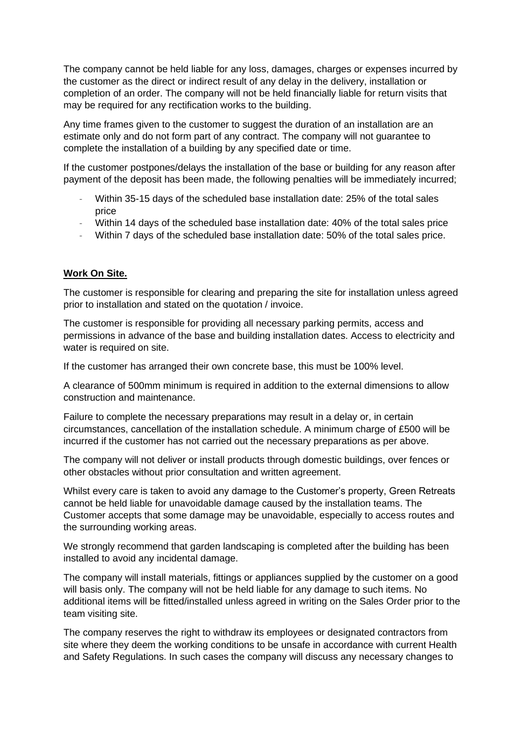The company cannot be held liable for any loss, damages, charges or expenses incurred by the customer as the direct or indirect result of any delay in the delivery, installation or completion of an order. The company will not be held financially liable for return visits that may be required for any rectification works to the building.

Any time frames given to the customer to suggest the duration of an installation are an estimate only and do not form part of any contract. The company will not guarantee to complete the installation of a building by any specified date or time.

If the customer postpones/delays the installation of the base or building for any reason after payment of the deposit has been made, the following penalties will be immediately incurred;

- Within 35-15 days of the scheduled base installation date: 25% of the total sales price
- Within 14 days of the scheduled base installation date: 40% of the total sales price
- Within 7 days of the scheduled base installation date: 50% of the total sales price.

### **Work On Site.**

The customer is responsible for clearing and preparing the site for installation unless agreed prior to installation and stated on the quotation / invoice.

The customer is responsible for providing all necessary parking permits, access and permissions in advance of the base and building installation dates. Access to electricity and water is required on site.

If the customer has arranged their own concrete base, this must be 100% level.

A clearance of 500mm minimum is required in addition to the external dimensions to allow construction and maintenance.

Failure to complete the necessary preparations may result in a delay or, in certain circumstances, cancellation of the installation schedule. A minimum charge of £500 will be incurred if the customer has not carried out the necessary preparations as per above.

The company will not deliver or install products through domestic buildings, over fences or other obstacles without prior consultation and written agreement.

Whilst every care is taken to avoid any damage to the Customer's property, Green Retreats cannot be held liable for unavoidable damage caused by the installation teams. The Customer accepts that some damage may be unavoidable, especially to access routes and the surrounding working areas.

We strongly recommend that garden landscaping is completed after the building has been installed to avoid any incidental damage.

The company will install materials, fittings or appliances supplied by the customer on a good will basis only. The company will not be held liable for any damage to such items. No additional items will be fitted/installed unless agreed in writing on the Sales Order prior to the team visiting site.

The company reserves the right to withdraw its employees or designated contractors from site where they deem the working conditions to be unsafe in accordance with current Health and Safety Regulations. In such cases the company will discuss any necessary changes to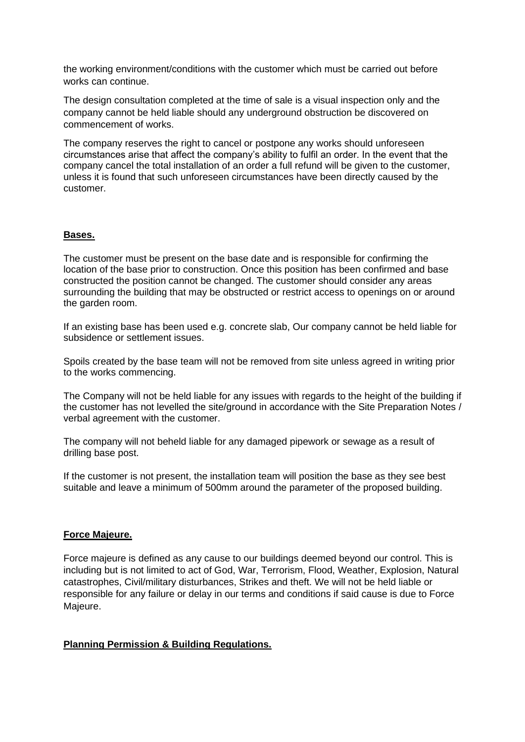the working environment/conditions with the customer which must be carried out before works can continue.

The design consultation completed at the time of sale is a visual inspection only and the company cannot be held liable should any underground obstruction be discovered on commencement of works.

The company reserves the right to cancel or postpone any works should unforeseen circumstances arise that affect the company's ability to fulfil an order. In the event that the company cancel the total installation of an order a full refund will be given to the customer, unless it is found that such unforeseen circumstances have been directly caused by the customer.

### **Bases.**

The customer must be present on the base date and is responsible for confirming the location of the base prior to construction. Once this position has been confirmed and base constructed the position cannot be changed. The customer should consider any areas surrounding the building that may be obstructed or restrict access to openings on or around the garden room.

If an existing base has been used e.g. concrete slab, Our company cannot be held liable for subsidence or settlement issues.

Spoils created by the base team will not be removed from site unless agreed in writing prior to the works commencing.

The Company will not be held liable for any issues with regards to the height of the building if the customer has not levelled the site/ground in accordance with the Site Preparation Notes / verbal agreement with the customer.

The company will not beheld liable for any damaged pipework or sewage as a result of drilling base post.

If the customer is not present, the installation team will position the base as they see best suitable and leave a minimum of 500mm around the parameter of the proposed building.

### **Force Majeure.**

Force majeure is defined as any cause to our buildings deemed beyond our control. This is including but is not limited to act of God, War, Terrorism, Flood, Weather, Explosion, Natural catastrophes, Civil/military disturbances, Strikes and theft. We will not be held liable or responsible for any failure or delay in our terms and conditions if said cause is due to Force Majeure.

### **Planning Permission & Building Regulations.**